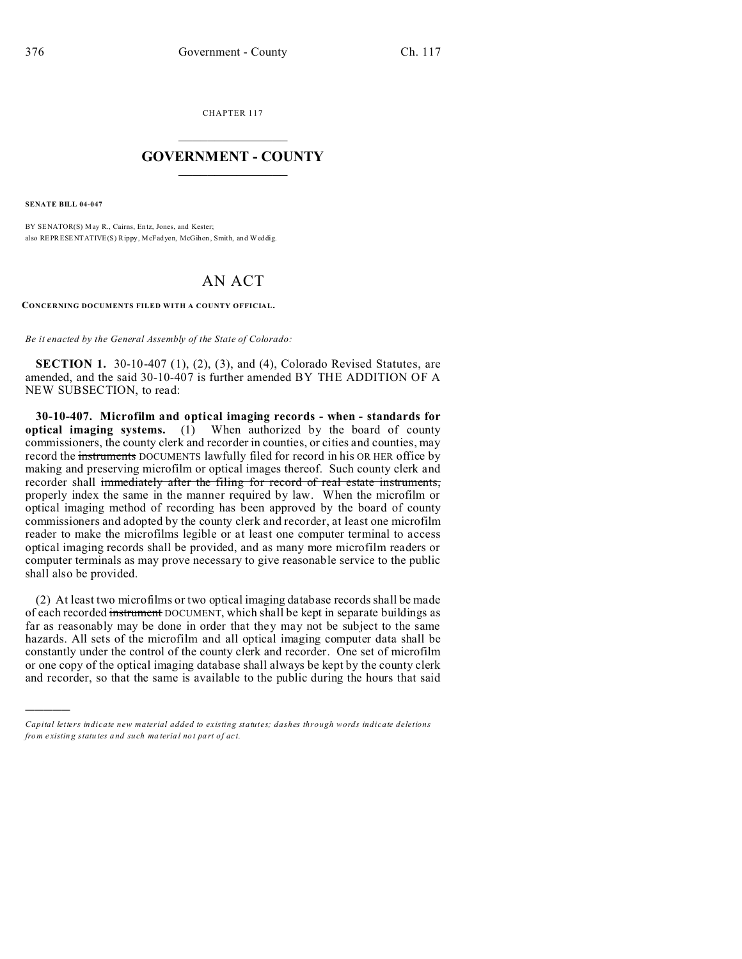CHAPTER 117  $\overline{\phantom{a}}$  , where  $\overline{\phantom{a}}$ 

## **GOVERNMENT - COUNTY**  $\_$

**SENATE BILL 04-047**

)))))

BY SENATOR(S) May R., Cairns, Entz, Jones, and Kester; also REPRESENTATIVE(S) Rippy, McFadyen, McGihon , Smith, and Weddig.

## AN ACT

**CONCERNING DOCUMENTS FILED WITH A COUNTY OFFICIAL.**

*Be it enacted by the General Assembly of the State of Colorado:*

**SECTION 1.** 30-10-407 (1), (2), (3), and (4), Colorado Revised Statutes, are amended, and the said 30-10-407 is further amended BY THE ADDITION OF A NEW SUBSECTION, to read:

**30-10-407. Microfilm and optical imaging records - when - standards for optical imaging systems.** (1) When authorized by the board of county commissioners, the county clerk and recorder in counties, or cities and counties, may record the instruments DOCUMENTS lawfully filed for record in his OR HER office by making and preserving microfilm or optical images thereof. Such county clerk and recorder shall immediately after the filing for record of real estate instruments, properly index the same in the manner required by law. When the microfilm or optical imaging method of recording has been approved by the board of county commissioners and adopted by the county clerk and recorder, at least one microfilm reader to make the microfilms legible or at least one computer terminal to access optical imaging records shall be provided, and as many more microfilm readers or computer terminals as may prove necessary to give reasonable service to the public shall also be provided.

(2) At least two microfilms or two optical imaging database records shall be made of each recorded instrument DOCUMENT, which shall be kept in separate buildings as far as reasonably may be done in order that they may not be subject to the same hazards. All sets of the microfilm and all optical imaging computer data shall be constantly under the control of the county clerk and recorder. One set of microfilm or one copy of the optical imaging database shall always be kept by the county clerk and recorder, so that the same is available to the public during the hours that said

*Capital letters indicate new material added to existing statutes; dashes through words indicate deletions from e xistin g statu tes a nd such ma teria l no t pa rt of ac t.*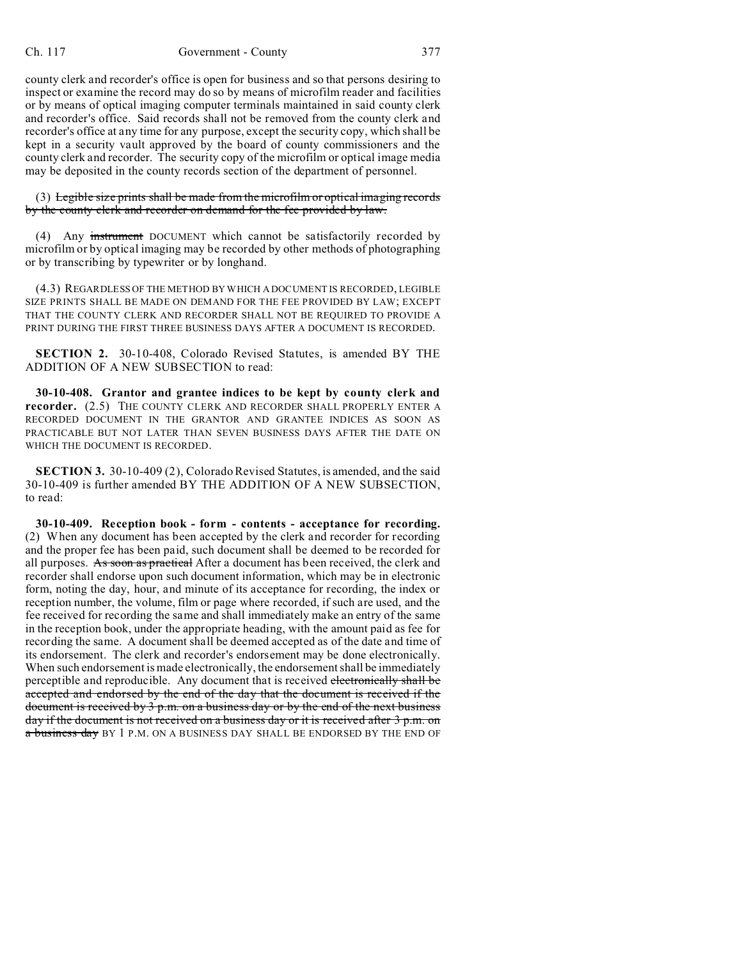county clerk and recorder's office is open for business and so that persons desiring to inspect or examine the record may do so by means of microfilm reader and facilities or by means of optical imaging computer terminals maintained in said county clerk and recorder's office. Said records shall not be removed from the county clerk and recorder's office at any time for any purpose, except the security copy, which shall be kept in a security vault approved by the board of county commissioners and the county clerk and recorder. The security copy of the microfilm or optical image media may be deposited in the county records section of the department of personnel.

(3) Legible size prints shall be made from the microfilm or optical imaging records by the county clerk and recorder on demand for the fee provided by law.

(4) Any instrument DOCUMENT which cannot be satisfactorily recorded by microfilm or by optical imaging may be recorded by other methods of photographing or by transcribing by typewriter or by longhand.

(4.3) REGARDLESS OF THE METHOD BY WHICH A DOCUMENT IS RECORDED, LEGIBLE SIZE PRINTS SHALL BE MADE ON DEMAND FOR THE FEE PROVIDED BY LAW; EXCEPT THAT THE COUNTY CLERK AND RECORDER SHALL NOT BE REQUIRED TO PROVIDE A PRINT DURING THE FIRST THREE BUSINESS DAYS AFTER A DOCUMENT IS RECORDED.

**SECTION 2.** 30-10-408, Colorado Revised Statutes, is amended BY THE ADDITION OF A NEW SUBSECTION to read:

**30-10-408. Grantor and grantee indices to be kept by county clerk and recorder.** (2.5) THE COUNTY CLERK AND RECORDER SHALL PROPERLY ENTER A RECORDED DOCUMENT IN THE GRANTOR AND GRANTEE INDICES AS SOON AS PRACTICABLE BUT NOT LATER THAN SEVEN BUSINESS DAYS AFTER THE DATE ON WHICH THE DOCUMENT IS RECORDED.

**SECTION 3.** 30-10-409 (2), Colorado Revised Statutes, is amended, and the said 30-10-409 is further amended BY THE ADDITION OF A NEW SUBSECTION, to read:

**30-10-409. Reception book - form - contents - acceptance for recording.** (2) When any document has been accepted by the clerk and recorder for recording and the proper fee has been paid, such document shall be deemed to be recorded for all purposes. As soon as practical After a document has been received, the clerk and recorder shall endorse upon such document information, which may be in electronic form, noting the day, hour, and minute of its acceptance for recording, the index or reception number, the volume, film or page where recorded, if such are used, and the fee received for recording the same and shall immediately make an entry of the same in the reception book, under the appropriate heading, with the amount paid as fee for recording the same. A document shall be deemed accepted as of the date and time of its endorsement. The clerk and recorder's endorsement may be done electronically. When such endorsement is made electronically, the endorsement shall be immediately perceptible and reproducible. Any document that is received electronically shall be accepted and endorsed by the end of the day that the document is received if the document is received by 3 p.m. on a business day or by the end of the next business day if the document is not received on a business day or it is received after 3 p.m. on a business day BY 1 P.M. ON A BUSINESS DAY SHALL BE ENDORSED BY THE END OF